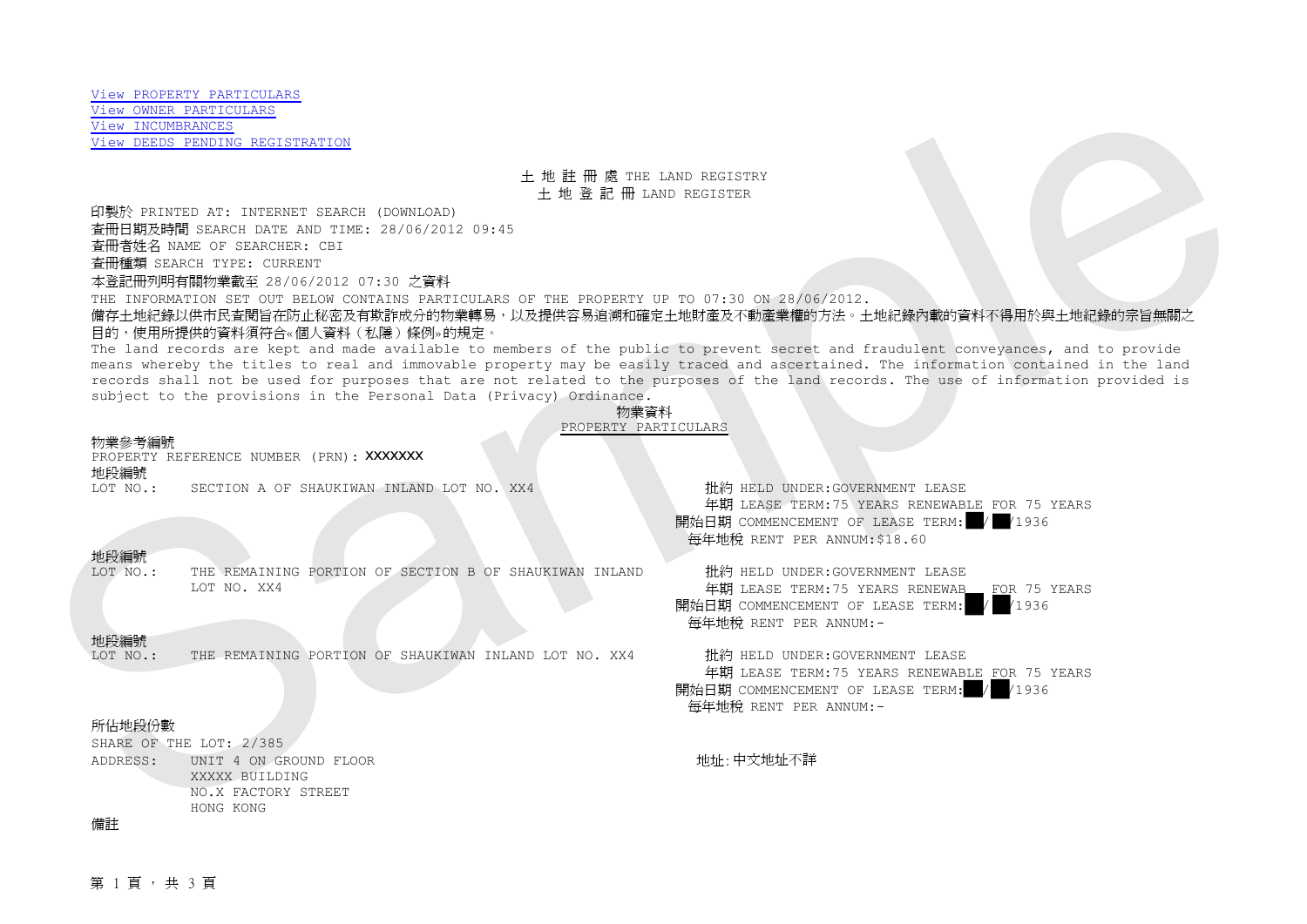## 土 地 註 冊 處 THE LAND REGISTRY 土 地 登 記 冊 LAND REGISTER

印製於 PRINTED AT: INTERNET SEARCH (DOWNLOAD) 查冊日期及時間 SEARCH DATE AND TIME: 28/06/2012 09:45 查冊者姓名 NAME OF SEARCHER: CBI 查冊種類 SEARCH TYPE: CURRENT

本登記冊列明有關物業截至 28/06/2012 07:30 之資料

THE INFORMATION SET OUT BELOW CONTAINS PARTICULARS OF THE PROPERTY UP TO 07:30 ON 28/06/2012.

備存土地紀錄以供市民查閱旨在防止秘密及有欺詐成分的物業轉易,以及提供容易追溯和確定土地財產及不動產業權的方法。土地紀錄內載的資料不得用於與土地紀錄的宗旨無關之 目的,使用所提供的資料須符合«個人資料(私隱)條例»的規定。

The land records are kept and made available to members of the public to prevent secret and fraudulent conveyances, and to provide means whereby the titles to real and immovable property may be easily traced and ascertained. The information contained in the land records shall not be used for purposes that are not related to the purposes of the land records. The use of information provided is subject to the provisions in the Personal Data (Privacy) Ordinance. Sample

#### 物業資料 PROPERTY PARTICULARS

### 物業參考編號

PROPERTY REFERENCE NUMBER (PRN): XXXXXXX

# 地段編號<br>I.OT NO ·

LOT NO.: SECTION A OF SHAUKIWAN INLAND LOT NO. XX4 批約 HELD UNDER:GOVERNMENT LEASE

地段編號 THE REMAINING PORTION OF SECTION B OF SHAUKIWAN INLAND LOT NO. XX4

# 地段編號<br>LOT NO.:

THE REMAINING PORTION OF SHAUKIWAN INLAND LOT NO. XX4 # 批約 HELD UNDER:GOVERNMENT LEASE

## 年期 LEASE TERM:75 YEARS RENEWABLE FOR 75 YEARS<br>日期 COMMENCEMENT OF LEASE TERM: 4 / 4936 開始日期 COMMENCEMENT OF LEASE TERM: 每年地稅 RENT PER ANNUM:\$18.60

批約 HELD UNDER:GOVERNMENT LEASE 年期 LEASE TERM:75 YEARS RENEWAB FOR 75 YEARS<br>日期 COMMENCEMENT OF LEASE TERM: 4 4936 開始日期 COMMENCEMENT OF LEASE TERM: 每年地稅 RENT PER ANNUM:-

年期 LEASE TERM:75 YEARS RENEWABLE FOR 75 YEARS<br>日期 COMMENCEMENT OF LEASE TERM: 4 /1936 開始日期 COMMENCEMENT OF LEASE TERM: 每年地稅 RENT PER ANNUM:-

## 所佔地段份數

SHARE OF THE LOT: 2/385 ADDRESS: UNIT 4 ON GROUND FLOOR XXXXX BUILDING NO.X FACTORY STREET HONG KONG

地址:中文地址不詳

## 備註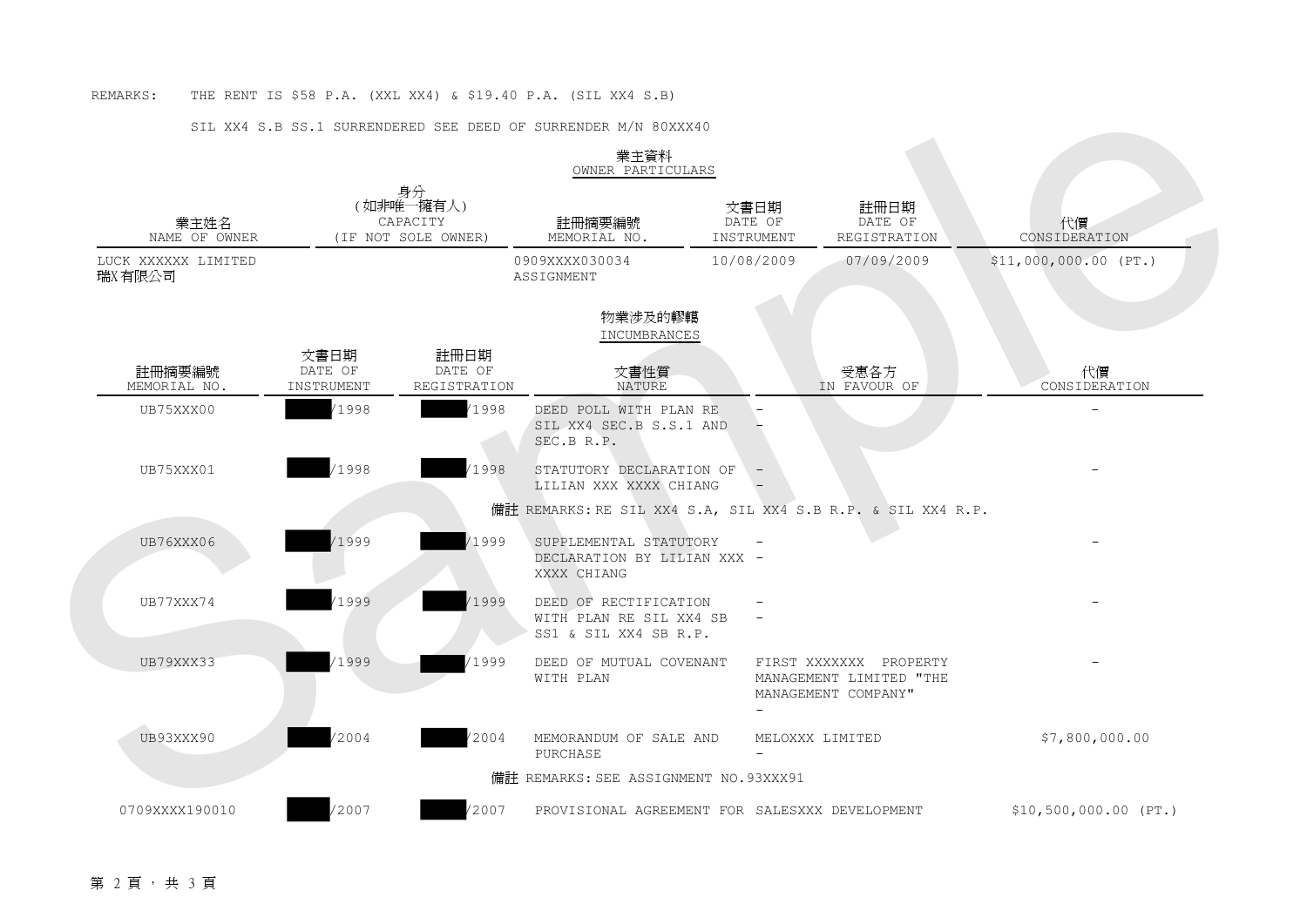## SIL XX4 S.B SS.1 SURRENDERED SEE DEED OF SURRENDER M/N 80XXX40

|                               |                                                    |                                 | OWNER PARTICULARS                                                         |                               |                                                                          |                        |
|-------------------------------|----------------------------------------------------|---------------------------------|---------------------------------------------------------------------------|-------------------------------|--------------------------------------------------------------------------|------------------------|
| 業主姓名<br>NAME OF OWNER         | 身分<br>(如非唯一擁有人)<br>CAPACITY<br>(IF NOT SOLE OWNER) |                                 | 註冊摘要編號<br>MEMORIAL NO.                                                    | 文書日期<br>DATE OF<br>INSTRUMENT | 註冊日期<br>DATE OF<br>REGISTRATION                                          | 代價<br>CONSIDERATION    |
| LUCK XXXXXX LIMITED<br>瑞X有限公司 |                                                    |                                 | 0909XXXX030034<br>ASSIGNMENT                                              | 10/08/2009                    | 07/09/2009                                                               | $$11,000,000.00$ (PT.) |
|                               |                                                    |                                 | 物業涉及的轇轕<br>INCUMBRANCES                                                   |                               |                                                                          |                        |
| 註冊摘要編號<br>MEMORIAL NO.        | 文書日期<br>DATE OF<br>INSTRUMENT                      | 註冊日期<br>DATE OF<br>REGISTRATION | 文書性質<br>NATURE                                                            |                               | 受惠各方<br>IN FAVOUR OF                                                     | 代價<br>CONSIDERATION    |
| UB75XXX00                     | /1998                                              | 1998                            | DEED POLL WITH PLAN RE<br>SIL XX4 SEC.B S.S.1 AND<br>SEC.B R.P.           |                               |                                                                          |                        |
| UB75XXX01                     | /1998                                              | 1998                            | STATUTORY DECLARATION OF<br>LILIAN XXX XXXX CHIANG                        |                               |                                                                          |                        |
|                               |                                                    |                                 | 備註 REMARKS:RE SIL XX4 S.A, SIL XX4 S.B R.P. & SIL XX4 R.P.                |                               |                                                                          |                        |
| UB76XXX06                     | /1999                                              | 1999                            | SUPPLEMENTAL STATUTORY<br>DECLARATION BY LILIAN XXX -<br>XXXX CHIANG      |                               |                                                                          |                        |
| UB77XXX74                     | 1999                                               | 1999                            | DEED OF RECTIFICATION<br>WITH PLAN RE SIL XX4 SB<br>SS1 & SIL XX4 SB R.P. |                               |                                                                          |                        |
| UB79XXX33                     | 1999                                               | 1999                            | DEED OF MUTUAL COVENANT<br>WITH PLAN                                      |                               | FIRST XXXXXXX PROPERTY<br>MANAGEMENT LIMITED "THE<br>MANAGEMENT COMPANY" |                        |
| UB93XXX90                     | '2004                                              | '2004                           | MEMORANDUM OF SALE AND<br>PURCHASE                                        |                               | MELOXXX LIMITED                                                          | \$7,800,000.00         |
|                               |                                                    |                                 | 備註 REMARKS: SEE ASSIGNMENT NO.93XXX91                                     |                               |                                                                          |                        |
| 0709XXXX190010                | 2007                                               | 2007                            | PROVISIONAL AGREEMENT FOR SALESXXX DEVELOPMENT                            |                               |                                                                          | $$10,500,000.00$ (PT.) |